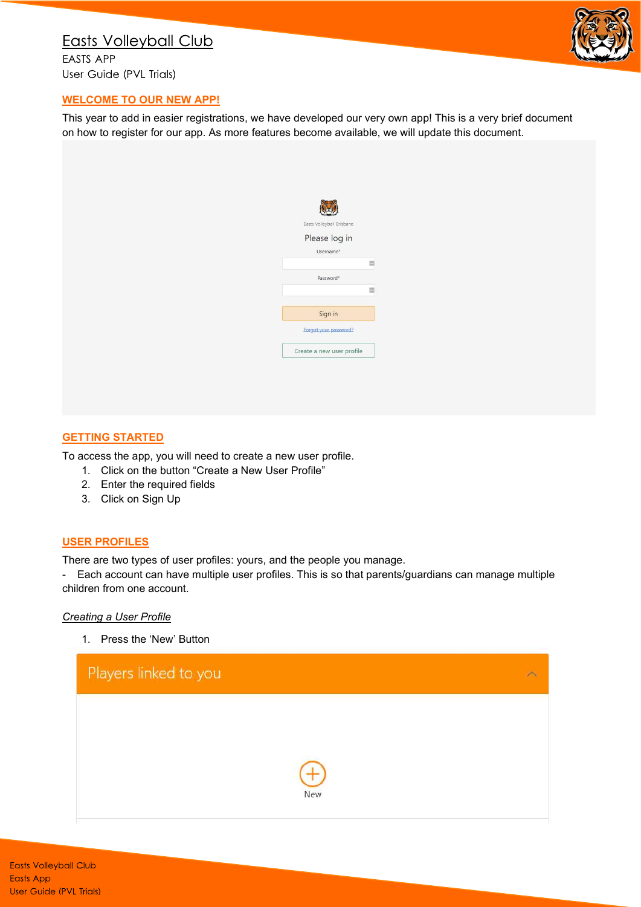# **Easts Volleyball Club**

**EASTS APP** User Guide (PVL Trials)



### WELCOME TO OUR NEW APP!

This year to add in easier registrations, we have developed our very own app! This is a very brief document on how to register for our app. As more features become available, we will update this document.

#### **GETTING STARTED**

To access the app, you will need to create a new user profile.

- 1. Click on the button "Create a New User Profile"
- 2. Enter the required fields
- 3. Click on Sign Up

#### USER PROFILES

There are two types of user profiles: yours, and the people you manage.

- Each account can have multiple user profiles. This is so that parents/guardians can manage multiple children from one account.

#### Creating a User Profile

1. Press the 'New' Button

| Players linked to you |     |  |
|-----------------------|-----|--|
|                       |     |  |
|                       |     |  |
|                       | New |  |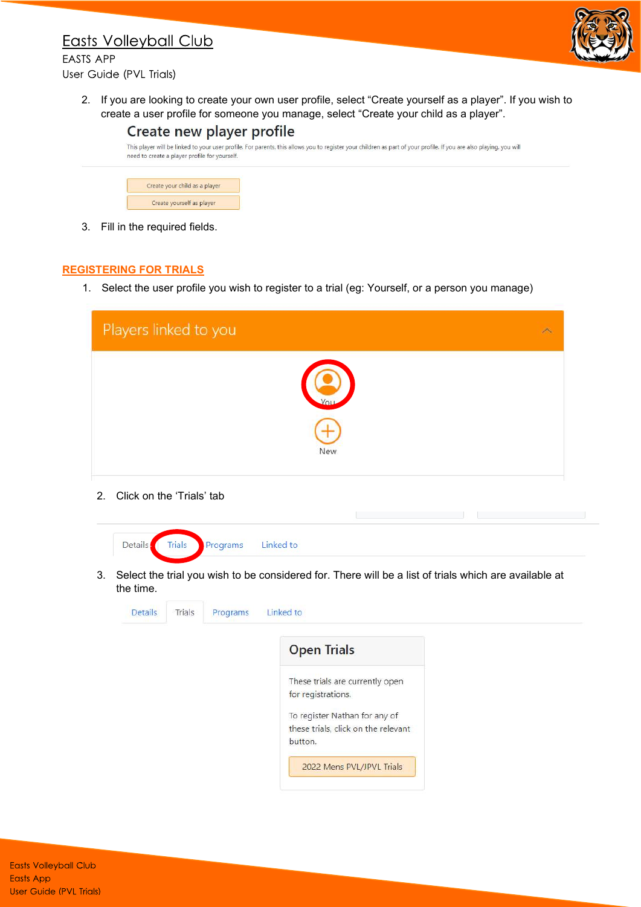## **Easts Volleyball Club**



**FASTS APP** User Guide (PVL Trials)

> 2. If you are looking to create your own user profile, select "Create yourself as a player". If you wish to create a user profile for someone you manage, select "Create your child as a player".



Create yourself as player

3. Fill in the required fields.

### REGISTERING FOR TRIALS

1. Select the user profile you wish to register to a trial (eg: Yourself, or a person you manage)

| Players linked to you |  |
|-----------------------|--|
| New                   |  |

2. Click on the 'Trials' tab



3. Select the trial you wish to be considered for. There will be a list of trials which are available at the time.